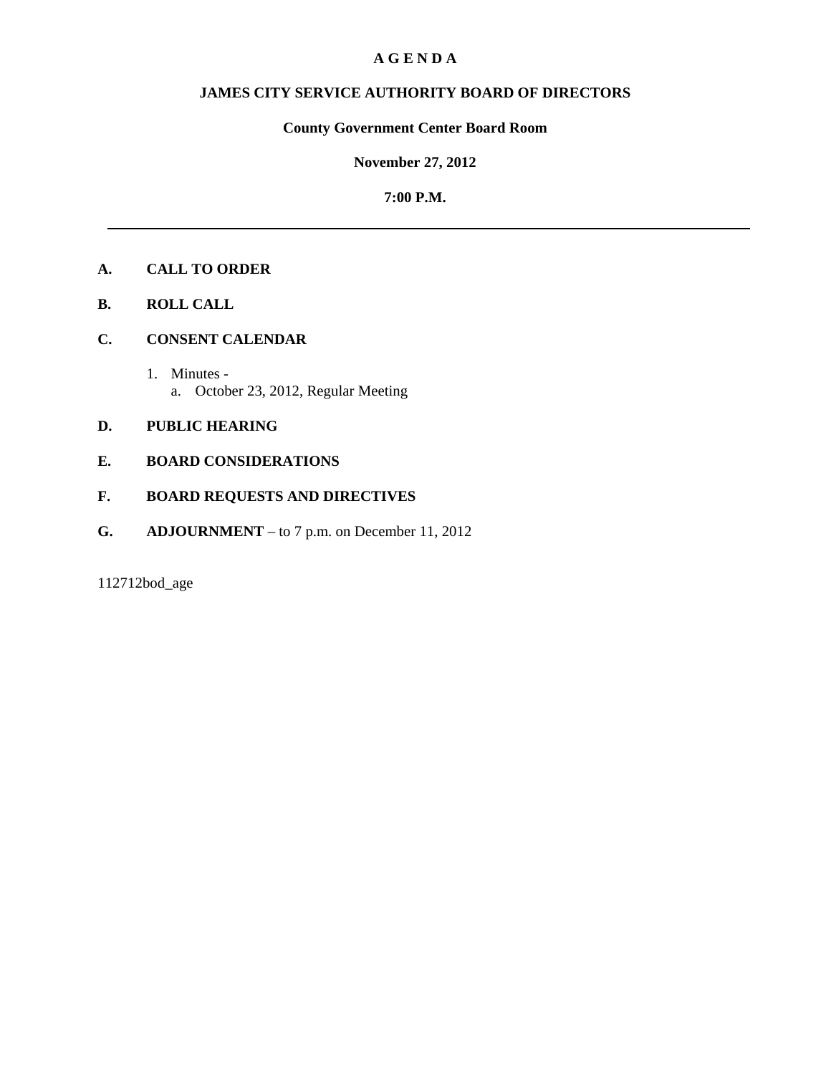# **A G E N D A**

# **JAMES CITY SERVICE AUTHORITY BOARD OF DIRECTORS**

# **County Government Center Board Room**

**November 27, 2012**

**7:00 P.M.**

# **A. CALL TO ORDER**

- **B. ROLL CALL**
- **C. CONSENT CALENDAR** 
	- 1. Minutes a. October 23, 2012, Regular Meeting

# **D. PUBLIC HEARING**

# **E. BOARD CONSIDERATIONS**

# **F. BOARD REQUESTS AND DIRECTIVES**

**G. ADJOURNMENT** – to 7 p.m. on December 11, 2012

112712bod\_age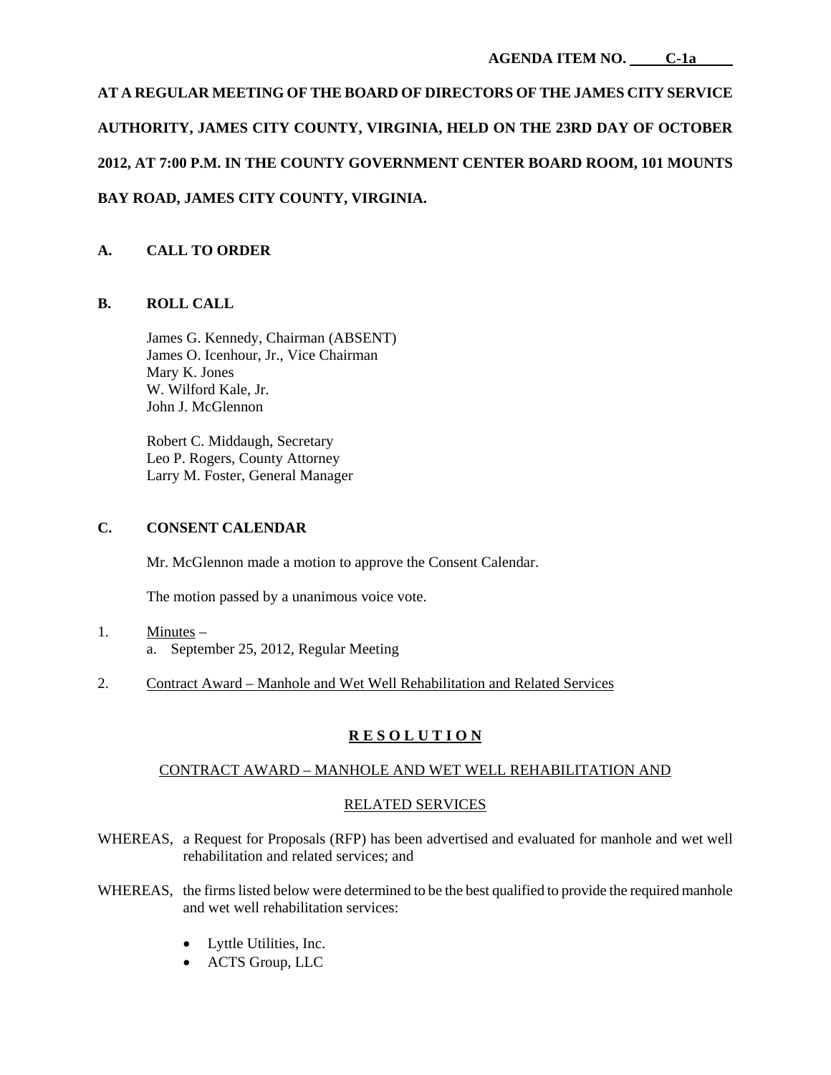# **AT A REGULAR MEETING OF THE BOARD OF DIRECTORS OF THE JAMES CITY SERVICE AUTHORITY, JAMES CITY COUNTY, VIRGINIA, HELD ON THE 23RD DAY OF OCTOBER 2012, AT 7:00 P.M. IN THE COUNTY GOVERNMENT CENTER BOARD ROOM, 101 MOUNTS BAY ROAD, JAMES CITY COUNTY, VIRGINIA.**

# **A. CALL TO ORDER**

# **B. ROLL CALL**

James G. Kennedy, Chairman (ABSENT) James O. Icenhour, Jr., Vice Chairman Mary K. Jones W. Wilford Kale, Jr. John J. McGlennon

Robert C. Middaugh, Secretary Leo P. Rogers, County Attorney Larry M. Foster, General Manager

# **C. CONSENT CALENDAR**

Mr. McGlennon made a motion to approve the Consent Calendar.

The motion passed by a unanimous voice vote.

- 1. Minutes a. September 25, 2012, Regular Meeting
- 2. Contract Award Manhole and Wet Well Rehabilitation and Related Services

# **R E S O L U T I O N**

## CONTRACT AWARD – MANHOLE AND WET WELL REHABILITATION AND

## RELATED SERVICES

- WHEREAS, a Request for Proposals (RFP) has been advertised and evaluated for manhole and wet well rehabilitation and related services; and
- WHEREAS, the firms listed below were determined to be the best qualified to provide the required manhole and wet well rehabilitation services:
	- Lyttle Utilities, Inc.
	- ACTS Group, LLC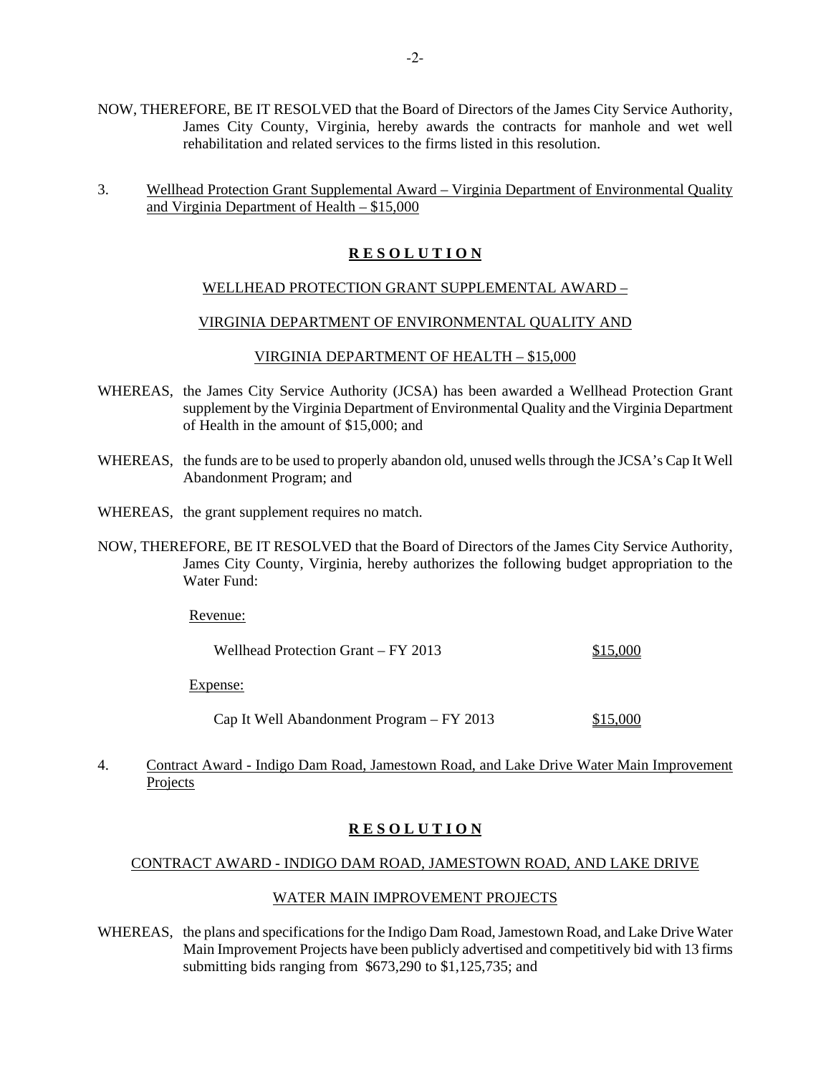- NOW, THEREFORE, BE IT RESOLVED that the Board of Directors of the James City Service Authority, James City County, Virginia, hereby awards the contracts for manhole and wet well rehabilitation and related services to the firms listed in this resolution.
- 3. Wellhead Protection Grant Supplemental Award Virginia Department of Environmental Quality and Virginia Department of Health – \$15,000

## **R E S O L U T I O N**

#### WELLHEAD PROTECTION GRANT SUPPLEMENTAL AWARD –

#### VIRGINIA DEPARTMENT OF ENVIRONMENTAL QUALITY AND

#### VIRGINIA DEPARTMENT OF HEALTH – \$15,000

- WHEREAS, the James City Service Authority (JCSA) has been awarded a Wellhead Protection Grant supplement by the Virginia Department of Environmental Quality and the Virginia Department of Health in the amount of \$15,000; and
- WHEREAS, the funds are to be used to properly abandon old, unused wells through the JCSA's Cap It Well Abandonment Program; and
- WHEREAS, the grant supplement requires no match.
- NOW, THEREFORE, BE IT RESOLVED that the Board of Directors of the James City Service Authority, James City County, Virginia, hereby authorizes the following budget appropriation to the Water Fund:

Revenue:

| Wellhead Protection Grant – FY 2013 | \$15,000 |
|-------------------------------------|----------|
|-------------------------------------|----------|

Expense:

Cap It Well Abandonment Program – FY 2013 \$15,000

4. Contract Award - Indigo Dam Road, Jamestown Road, and Lake Drive Water Main Improvement Projects

# **R E S O L U T I O N**

#### CONTRACT AWARD - INDIGO DAM ROAD, JAMESTOWN ROAD, AND LAKE DRIVE

#### WATER MAIN IMPROVEMENT PROJECTS

WHEREAS, the plans and specifications for the Indigo Dam Road, Jamestown Road, and Lake Drive Water Main Improvement Projects have been publicly advertised and competitively bid with 13 firms submitting bids ranging from \$673,290 to \$1,125,735; and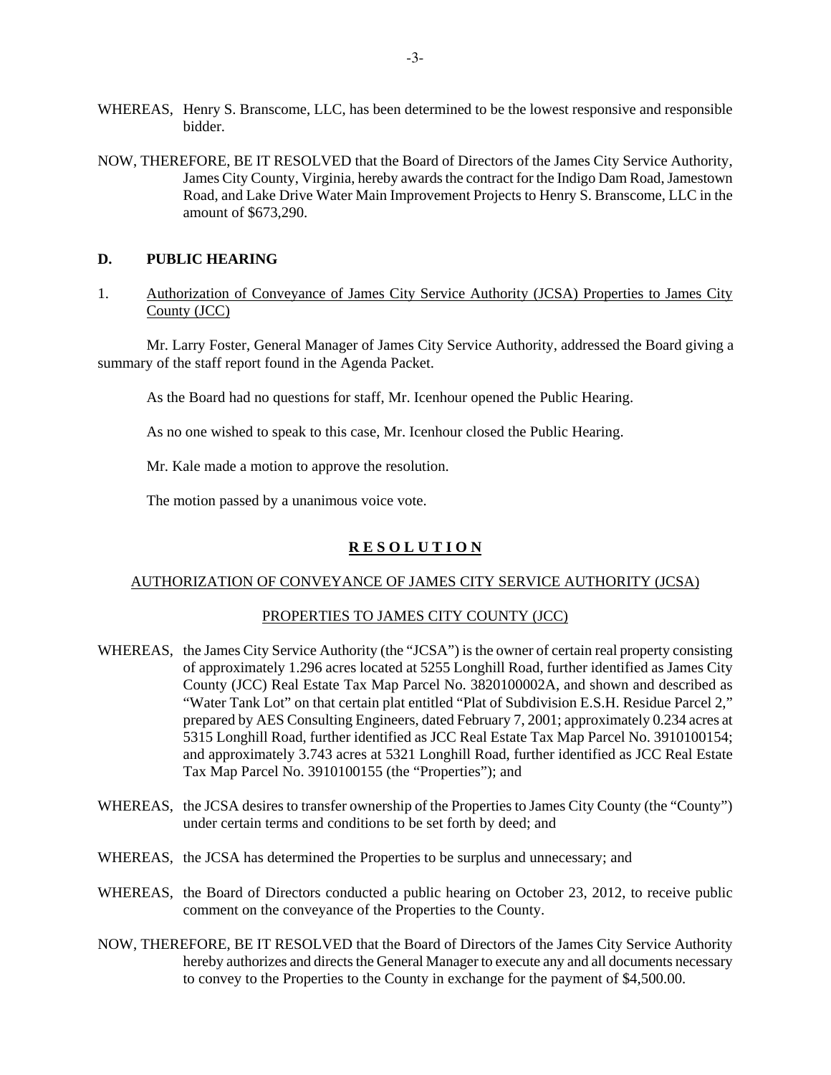- WHEREAS, Henry S. Branscome, LLC, has been determined to be the lowest responsive and responsible bidder.
- NOW, THEREFORE, BE IT RESOLVED that the Board of Directors of the James City Service Authority, James City County, Virginia, hereby awards the contract for the Indigo Dam Road, Jamestown Road, and Lake Drive Water Main Improvement Projects to Henry S. Branscome, LLC in the amount of \$673,290.

#### **D. PUBLIC HEARING**

1. Authorization of Conveyance of James City Service Authority (JCSA) Properties to James City County (JCC)

 Mr. Larry Foster, General Manager of James City Service Authority, addressed the Board giving a summary of the staff report found in the Agenda Packet.

As the Board had no questions for staff, Mr. Icenhour opened the Public Hearing.

As no one wished to speak to this case, Mr. Icenhour closed the Public Hearing.

Mr. Kale made a motion to approve the resolution.

The motion passed by a unanimous voice vote.

## **R E S O L U T I O N**

## AUTHORIZATION OF CONVEYANCE OF JAMES CITY SERVICE AUTHORITY (JCSA)

#### PROPERTIES TO JAMES CITY COUNTY (JCC)

- WHEREAS, the James City Service Authority (the "JCSA") is the owner of certain real property consisting of approximately 1.296 acres located at 5255 Longhill Road, further identified as James City County (JCC) Real Estate Tax Map Parcel No. 3820100002A, and shown and described as "Water Tank Lot" on that certain plat entitled "Plat of Subdivision E.S.H. Residue Parcel 2," prepared by AES Consulting Engineers, dated February 7, 2001; approximately 0.234 acres at 5315 Longhill Road, further identified as JCC Real Estate Tax Map Parcel No. 3910100154; and approximately 3.743 acres at 5321 Longhill Road, further identified as JCC Real Estate Tax Map Parcel No. 3910100155 (the "Properties"); and
- WHEREAS, the JCSA desires to transfer ownership of the Properties to James City County (the "County") under certain terms and conditions to be set forth by deed; and
- WHEREAS, the JCSA has determined the Properties to be surplus and unnecessary; and
- WHEREAS, the Board of Directors conducted a public hearing on October 23, 2012, to receive public comment on the conveyance of the Properties to the County.
- NOW, THEREFORE, BE IT RESOLVED that the Board of Directors of the James City Service Authority hereby authorizes and directs the General Manager to execute any and all documents necessary to convey to the Properties to the County in exchange for the payment of \$4,500.00.